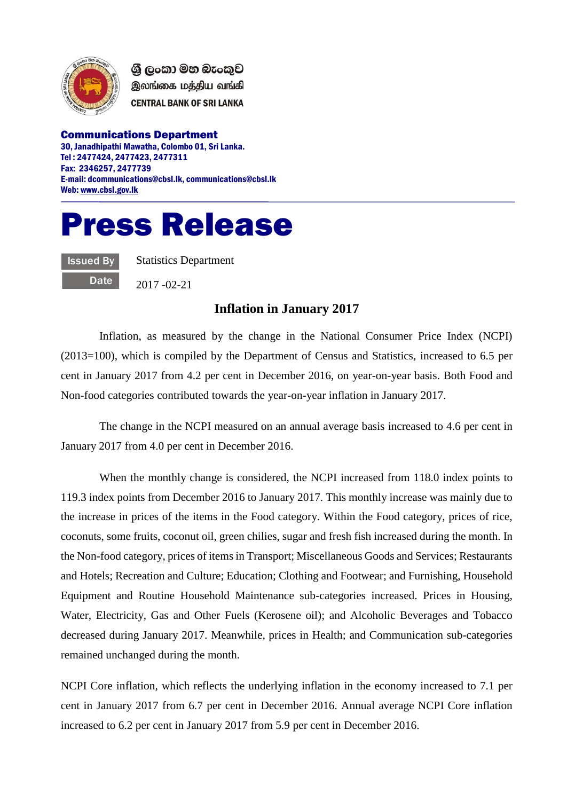

ශී ලංකා මහ බැංකුව இலங்கை மத்திய வங்கி **CENTRAL BANK OF SRI LANKA** 

Communications Department 30, Janadhipathi Mawatha, Colombo 01, Sri Lanka. Tel : 2477424, 2477423, 2477311 Fax: 2346257, 2477739 E-mail: dcommunications@cbsl.lk, communications@cbsl.lk Web[: www.cbsl.gov.lk](http://www.cbsl.gov.lk/)

## Press Release

**Issued By Date**  Statistics Department

2017 -02-21

## **Inflation in January 2017**

Inflation, as measured by the change in the National Consumer Price Index (NCPI) (2013=100), which is compiled by the Department of Census and Statistics, increased to 6.5 per cent in January 2017 from 4.2 per cent in December 2016, on year-on-year basis. Both Food and Non-food categories contributed towards the year-on-year inflation in January 2017.

The change in the NCPI measured on an annual average basis increased to 4.6 per cent in January 2017 from 4.0 per cent in December 2016.

When the monthly change is considered, the NCPI increased from 118.0 index points to 119.3 index points from December 2016 to January 2017. This monthly increase was mainly due to the increase in prices of the items in the Food category. Within the Food category, prices of rice, coconuts, some fruits, coconut oil, green chilies, sugar and fresh fish increased during the month. In the Non-food category, prices of items in Transport; Miscellaneous Goods and Services; Restaurants and Hotels; Recreation and Culture; Education; Clothing and Footwear; and Furnishing, Household Equipment and Routine Household Maintenance sub-categories increased. Prices in Housing, Water, Electricity, Gas and Other Fuels (Kerosene oil); and Alcoholic Beverages and Tobacco decreased during January 2017. Meanwhile, prices in Health; and Communication sub-categories remained unchanged during the month.

NCPI Core inflation, which reflects the underlying inflation in the economy increased to 7.1 per cent in January 2017 from 6.7 per cent in December 2016. Annual average NCPI Core inflation increased to 6.2 per cent in January 2017 from 5.9 per cent in December 2016.